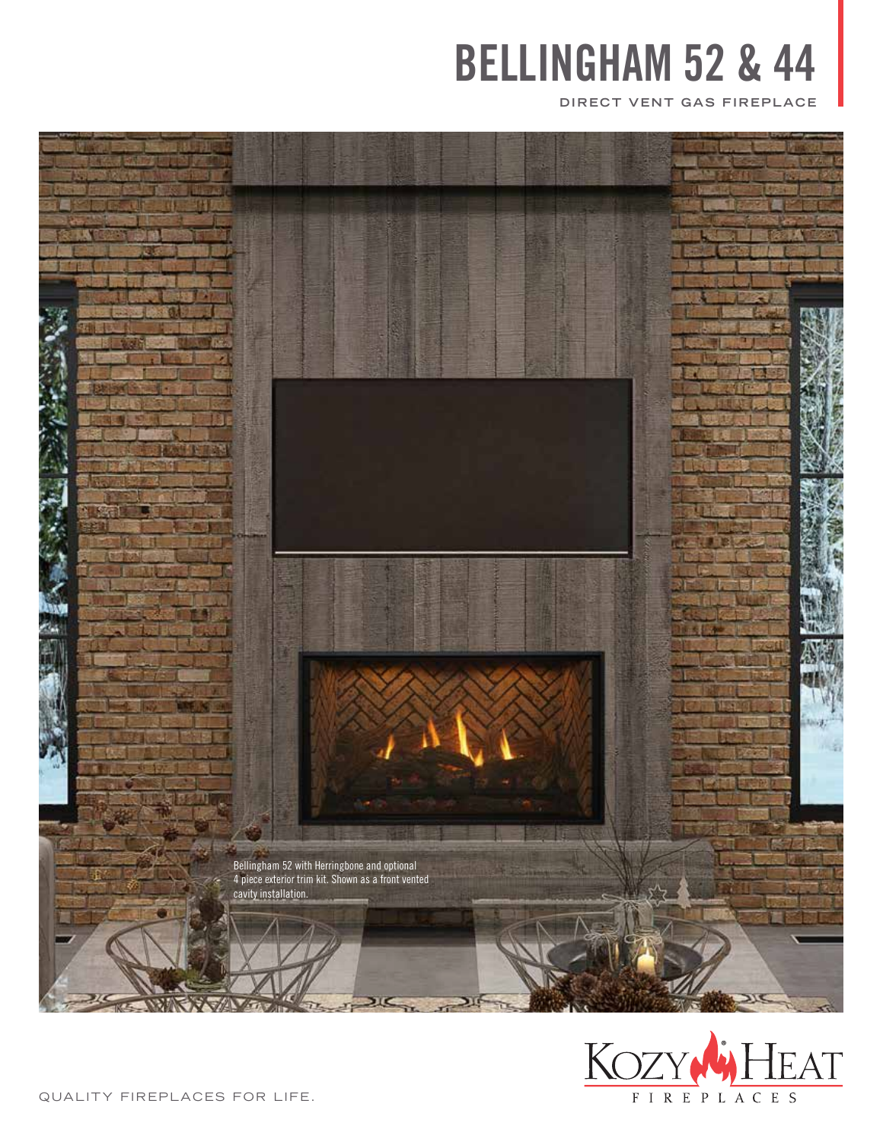**DIRECT VENT GAS FIREPLACE**





QUALITY FIREPLACES FOR LIFE.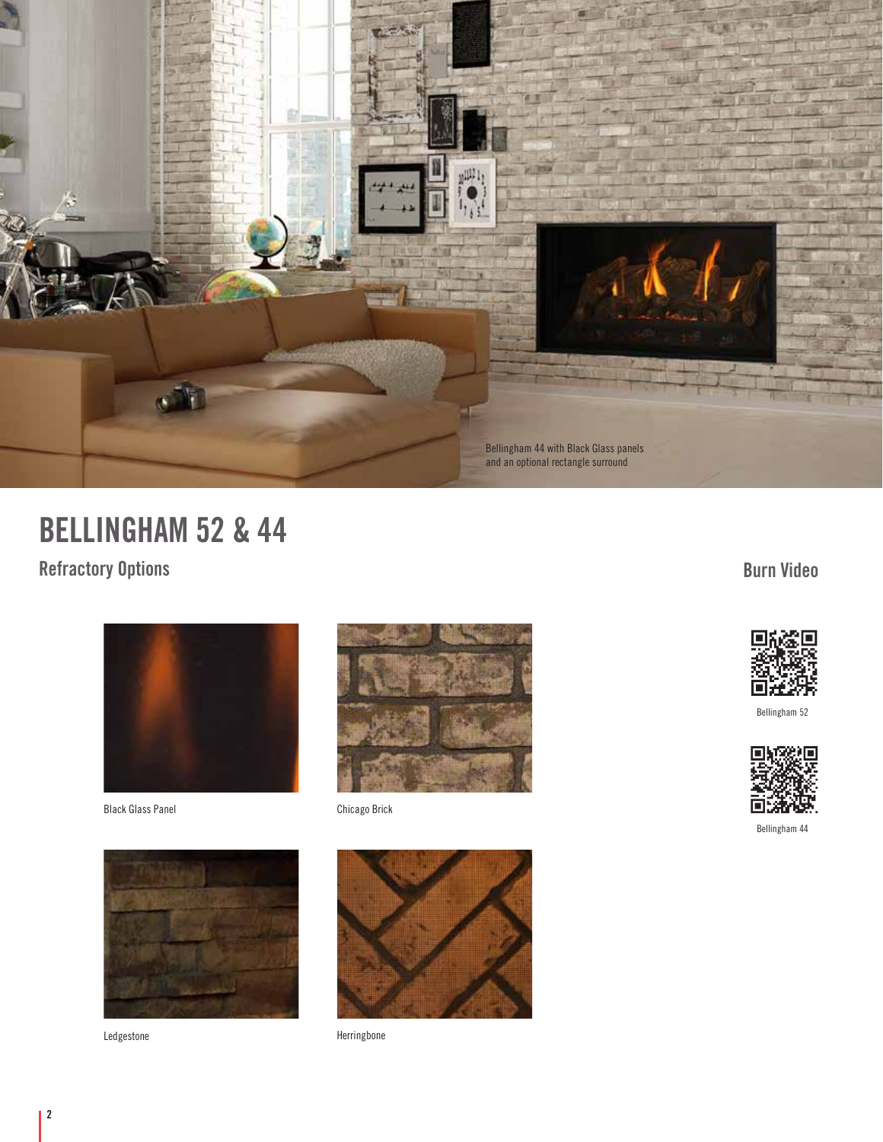

**Refractory Options**



Black Glass Panel





Chicago Brick



Ledgestone **Herringbone** 

**Burn Video**



Bellingham 52



Bellingham 44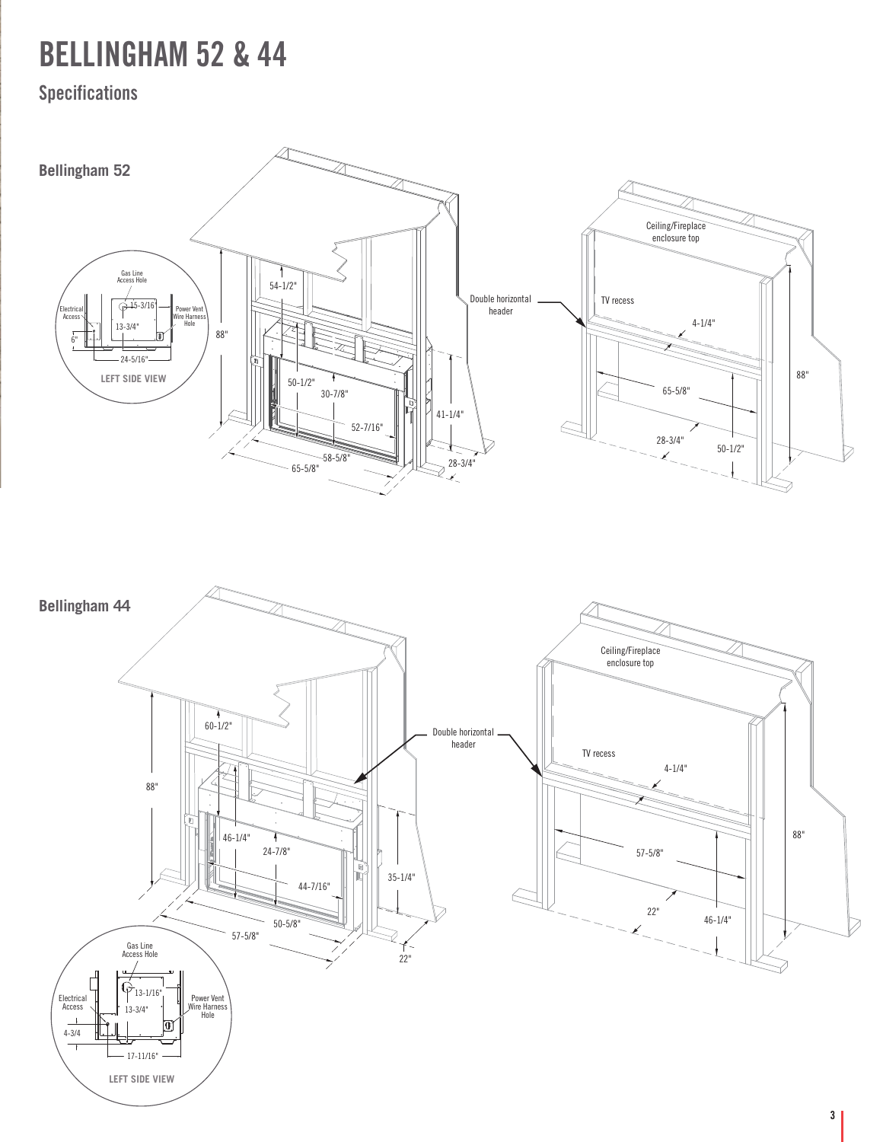### **Specifications**